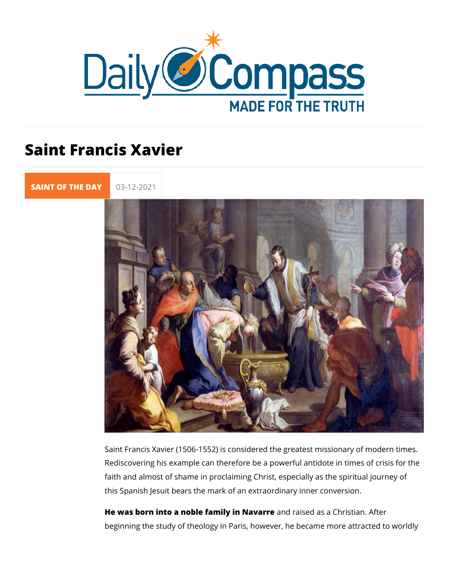## Saint Francis Xavier

[SAINT OF TH](https://newdailycompass.com/en/santi-del-giorno)E 03-12-2021

Saint Francis Xavier (1506-1552) is considered the greatest m Rediscovering his example can therefore be a powerful antidot faith and almost of shame in proclaiming Christ, especially as this Spanish Jesuit bears the mark of an extraordinary inner c

He was born into a noble family aimdNraaviaerde as a Christian. After beginning the study of theology in Paris, however, he became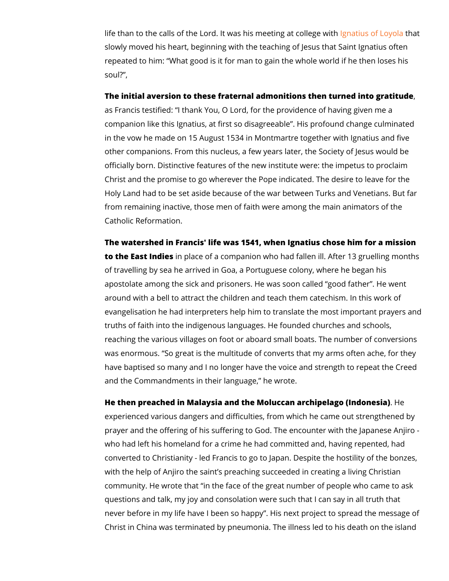life than to the calls of the Lord. It was his gmeetius go at Ltohopatillenge slowly moved his heart, beginning with the teaching of Jesus t repeated to him: What good is it for man to gain the whole wo soul? ,

The initial aversion to these fraternal admonitions then turned as Francis testified: I thank You, O Lord, for the providence of companion like this Ignatius, at first so disagreeable . His pro in the vow he made on 15 August 1534 in Montmartre together other companions. From this nucleus, a few years later, the Soc officially born. Distinctive features of the new institute were: Christ and the promise to go wherever the Pope indicated. The Holy Land had to be set aside because of the war between Tur from remaining inactive, those men of faith were among the ma Catholic Reformation.

The watershed in Francis' life was 1541, when Ignatius chose to the East Iniohi posace of a companion who had fallen ill. After of travelling by sea he arrived in Goa, a Portuguese colony, w apostolate among the sick and prisoners. He was soon called around with a bell to attract the children and teach them cated evangelisation he had interpreters help him to translate the m truths of faith into the indigenous languages. He founded chur reaching the various villages on foot or aboard small boats. The renumber of conversions  $\overline{r}$ was enormous. So great is the multitude of converts that my a have baptised so many and I no longer have the voice and stre and the Commandments in their language, he wrote.

He then preached in Malaysia and the Moluccan archipheelago (I experienced various dangers and difficulties, from which he ca prayer and the offering of his suffering to God. The encounter who had left his homeland for a crime he had committed and, had converted to Christianity - led Francis to go to Japan. Despite with the help of Anjiro the saint s preaching succeeded in creation community. He wrote that in the face of the great number of p questions and talk, my joy and consolation were such that I ca never before in my life have I been so happy . His next projec Christ in China was terminated by pneumonia. The illness led